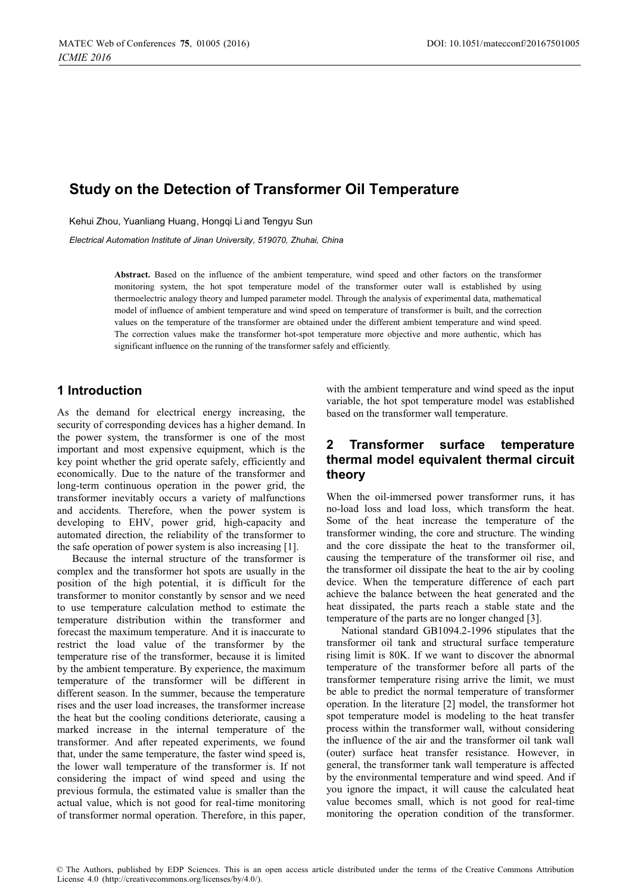# **Study on the Detection of Transformer Oil Temperature**

Kehui Zhou, Yuanliang Huang, Hongqi Li and Tengyu Sun

*Electrical Automation Institute of Jinan University, 519070, Zhuhai, China* 

**Abstract.** Based on the influence of the ambient temperature, wind speed and other factors on the transformer monitoring system, the hot spot temperature model of the transformer outer wall is established by using thermoelectric analogy theory and lumped parameter model. Through the analysis of experimental data, mathematical model of influence of ambient temperature and wind speed on temperature of transformer is built, and the correction values on the temperature of the transformer are obtained under the different ambient temperature and wind speed. The correction values make the transformer hot-spot temperature more objective and more authentic, which has significant influence on the running of the transformer safely and efficiently.

## **1 Introduction**

As the demand for electrical energy increasing, the security of corresponding devices has a higher demand. In the power system, the transformer is one of the most important and most expensive equipment, which is the key point whether the grid operate safely, efficiently and economically. Due to the nature of the transformer and long-term continuous operation in the power grid, the transformer inevitably occurs a variety of malfunctions and accidents. Therefore, when the power system is developing to EHV, power grid, high-capacity and automated direction, the reliability of the transformer to the safe operation of power system is also increasing [1].

Because the internal structure of the transformer is complex and the transformer hot spots are usually in the position of the high potential, it is difficult for the transformer to monitor constantly by sensor and we need to use temperature calculation method to estimate the temperature distribution within the transformer and forecast the maximum temperature. And it is inaccurate to restrict the load value of the transformer by the temperature rise of the transformer, because it is limited by the ambient temperature. By experience, the maximum temperature of the transformer will be different in different season. In the summer, because the temperature rises and the user load increases, the transformer increase the heat but the cooling conditions deteriorate, causing a marked increase in the internal temperature of the transformer. And after repeated experiments, we found that, under the same temperature, the faster wind speed is, the lower wall temperature of the transformer is. If not considering the impact of wind speed and using the previous formula, the estimated value is smaller than the actual value, which is not good for real-time monitoring of transformer normal operation. Therefore, in this paper,

with the ambient temperature and wind speed as the input variable, the hot spot temperature model was established based on the transformer wall temperature.

# **2 Transformer surface temperature thermal model equivalent thermal circuit theory**

When the oil-immersed power transformer runs, it has no-load loss and load loss, which transform the heat. Some of the heat increase the temperature of the transformer winding, the core and structure. The winding and the core dissipate the heat to the transformer oil, causing the temperature of the transformer oil rise, and the transformer oil dissipate the heat to the air by cooling device. When the temperature difference of each part achieve the balance between the heat generated and the heat dissipated, the parts reach a stable state and the temperature of the parts are no longer changed [3].

National standard GB1094.2-1996 stipulates that the transformer oil tank and structural surface temperature rising limit is 80K. If we want to discover the abnormal temperature of the transformer before all parts of the transformer temperature rising arrive the limit, we must be able to predict the normal temperature of transformer operation. In the literature [2] model, the transformer hot spot temperature model is modeling to the heat transfer process within the transformer wall, without considering the influence of the air and the transformer oil tank wall (outer) surface heat transfer resistance. However, in general, the transformer tank wall temperature is affected by the environmental temperature and wind speed. And if you ignore the impact, it will cause the calculated heat value becomes small, which is not good for real-time monitoring the operation condition of the transformer.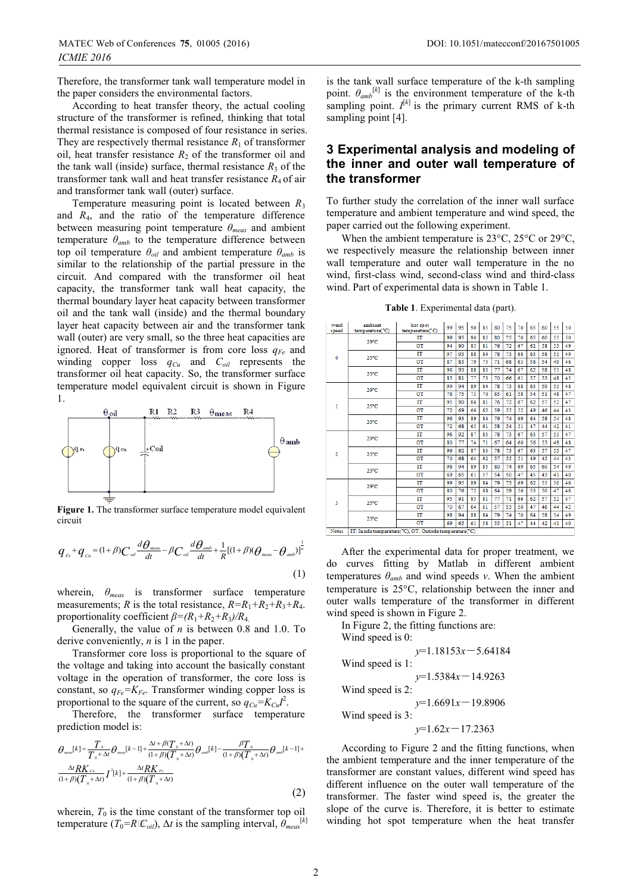Therefore, the transformer tank wall temperature model in the paper considers the environmental factors.

According to heat transfer theory, the actual cooling structure of the transformer is refined, thinking that total thermal resistance is composed of four resistance in series. They are respectively thermal resistance  $R_1$  of transformer oil, heat transfer resistance  $R_2$  of the transformer oil and the tank wall (inside) surface, thermal resistance  $R_3$  of the transformer tank wall and heat transfer resistance  $R_4$  of air and transformer tank wall (outer) surface.

Temperature measuring point is located between  $R_3$ and *R*4, and the ratio of the temperature difference between measuring point temperature *θmeas* and ambient temperature  $\theta_{amb}$  to the temperature difference between top oil temperature  $\theta_{oil}$  and ambient temperature  $\theta_{amb}$  is similar to the relationship of the partial pressure in the circuit. And compared with the transformer oil heat capacity, the transformer tank wall heat capacity, the thermal boundary layer heat capacity between transformer oil and the tank wall (inside) and the thermal boundary layer heat capacity between air and the transformer tank wall (outer) are very small, so the three heat capacities are ignored. Heat of transformer is from core loss  $q_{Fe}$  and winding copper loss  $q_{Cu}$  and  $C_{oil}$  represents the transformer oil heat capacity. So, the transformer surface temperature model equivalent circuit is shown in Figure 1.



Figure 1. The transformer surface temperature model equivalent circuit

$$
q_{Fe} + q_{Cu} = (1+\beta)C_{ol} \frac{d\theta_{meas}}{dt} - \beta C_{ol} \frac{d\theta_{amb}}{dt} + \frac{1}{R}[(1+\beta)(\theta_{meas} - \theta_{amb})]^{\frac{1}{n}}
$$
\n(1)

wherein, *θmeas* is transformer surface temperature measurements; *R* is the total resistance,  $R=R_1+R_2+R_3+R_4$ . proportionality coefficient  $\beta = (R_1 + R_2 + R_3)/R_4$ .

Generally, the value of *n* is between 0.8 and 1.0. To derive conveniently, *n* is 1 in the paper.

Transformer core loss is proportional to the square of the voltage and taking into account the basically constant voltage in the operation of transformer, the core loss is constant, so  $q_{Fe} = K_{Fe}$ . Transformer winding copper loss is proportional to the square of the current, so  $q_{Cu} = K_{Cu}l^2$ .

Therefore, the transformer surface temperature prediction model is:

$$
\theta_{\text{max}}[k] = \frac{T_0}{T_0 + \Delta t} \theta_{\text{max}}[k-1] + \frac{\Delta t + \beta(T_0 + \Delta t)}{(1+\beta)(T_0 + \Delta t)} \theta_{\text{max}}[k] - \frac{\beta T_0}{(1+\beta)(T_0 + \Delta t)} \theta_{\text{max}}[k-1] + \frac{\Delta t R K_{\text{ex}}}{(1+\beta)(T_0 + \Delta t)} I^2[k] + \frac{\Delta t R K_{\text{ex}}}{(1+\beta)(T_0 + \Delta t)}
$$
\n(2)

wherein,  $T_0$  is the time constant of the transformer top oil temperature ( $T_0=R\mathbb{C}_{oil}$ ),  $\Delta t$  is the sampling interval,  $\theta_{meas}^{[k]}$ 

is the tank wall surface temperature of the k-th sampling point.  $\theta_{amb}^{[k]}$  is the environment temperature of the k-th sampling point.  $I^{[k]}$  is the primary current RMS of k-th sampling point [4].

# **3 Experimental analysis and modeling of the inner and outer wall temperature of the transformer**

To further study the correlation of the inner wall surface temperature and ambient temperature and wind speed, the paper carried out the following experiment.

When the ambient temperature is  $23^{\circ}$ C,  $25^{\circ}$ C or  $29^{\circ}$ C, we respectively measure the relationship between inner wall temperature and outer wall temperature in the no wind, first-class wind, second-class wind and third-class wind. Part of experimental data is shown in Table 1.

**Table 1**. Experimental data (part).

| wind<br>speed | ambient<br>temperature(°C)                              | hot spot<br>temperature(°C) | 99 | 95 | 90 | 85 | 80 | 75              | 70 | 65 | 60 | 55                                                             | 50                                                                                     |
|---------------|---------------------------------------------------------|-----------------------------|----|----|----|----|----|-----------------|----|----|----|----------------------------------------------------------------|----------------------------------------------------------------------------------------|
| 0             | 29°C                                                    | IT                          | 99 | 95 | 90 | 85 | 80 | 75              | 70 | 65 | 60 | 55                                                             | 50                                                                                     |
|               |                                                         | OT                          | 94 | 90 | 85 | 81 | 76 | 72              | 67 | 62 | 58 | 53                                                             | 49                                                                                     |
|               | $25^{\circ}$ C                                          | IT                          | 97 | 93 | 88 | 84 | 78 | 73              | 68 | 63 | 58 | 53                                                             | 49                                                                                     |
|               |                                                         | $\overline{or}$             | 87 | 83 | 79 | 75 | 71 | 68              | 63 | 58 | 54 | 49                                                             | 46                                                                                     |
|               | $23^{\circ}$ C                                          | IT                          | 96 | 93 | 88 | 83 | 77 | 74              | 67 | 62 | 58 | 53                                                             | 48                                                                                     |
|               |                                                         | <b>OT</b>                   | 85 | 81 | 77 | 73 | 70 | 66              | 61 | 57 | 53 | 48                                                             | 45                                                                                     |
|               | $29^{\circ}$ C                                          | IT                          | 99 | 94 | 89 | 84 | 78 | 73              | 68 | 63 | 59 | 53                                                             | 48<br>47<br>47<br>43<br>48<br>41<br>47<br>48<br>47<br>43<br>49<br>40<br>46<br>46<br>47 |
|               |                                                         | OT                          | 78 | 75 | 73 | 70 | 65 | 61              | 58 | 54 | 51 | 48                                                             |                                                                                        |
| 1             |                                                         | IT                          | 95 | 90 | 86 | 81 | 76 | 72              | 67 | 62 | 57 | 52                                                             |                                                                                        |
|               | $25^{\circ}$ C<br>$23^{\circ}$ C                        | OT                          | 72 | 69 | 66 | 62 | 59 | 55              | 52 | 49 | 46 | 44                                                             |                                                                                        |
|               |                                                         | IT                          | 96 | 93 | 89 | 84 | 79 | 74              | 69 | 64 | 58 | 54                                                             |                                                                                        |
|               |                                                         | OT                          | 72 | 68 | 65 | 61 | 58 | 54              | 51 | 47 | 44 | 42                                                             |                                                                                        |
| 2             |                                                         | IT                          | 96 | 92 | 87 | 83 | 78 | 73              | 67 | 63 | 57 | 53                                                             |                                                                                        |
|               | $29^{\circ}$ C                                          | OT                          | 80 | 77 | 74 | 71 | 67 | 64              | 60 | 56 | 53 | 49                                                             |                                                                                        |
|               | $25^{\circ}$ C                                          | IT                          | 96 | 92 | 87 | 83 | 78 | 73              | 67 | 63 | 57 | 53                                                             |                                                                                        |
|               |                                                         | <b>OT</b>                   | 70 | 68 | 64 | 62 | 57 | 55              | 51 | 49 | 45 | 44                                                             |                                                                                        |
|               | $23^{\circ}$ C                                          | IΤ                          | 98 | 94 | 89 | 85 | 80 | 74              | 69 | 65 | 60 | 54<br>41<br>50<br>47<br>52<br>42<br>44<br>54<br>49<br>41<br>40 |                                                                                        |
|               |                                                         | OT                          | 69 | 65 | 61 | 57 | 54 | 50              | 47 | 45 | 43 |                                                                |                                                                                        |
|               | $29^{\circ}$ C                                          | IT                          | 99 | 95 | 89 | 84 | 79 | 73              | 69 | 62 | 55 |                                                                |                                                                                        |
|               |                                                         | OT                          | 80 | 76 | 72 | 68 | 64 | 59              | 56 | 53 | 50 |                                                                |                                                                                        |
| 3             | $25^{\circ}$ C                                          | īΤ                          | 95 | 91 | 85 | 81 | 77 | $\overline{71}$ | 66 | 62 | 57 |                                                                |                                                                                        |
|               |                                                         | OT                          | 70 | 67 | 64 | 61 | 57 | 53              | 50 | 47 | 46 |                                                                |                                                                                        |
|               | $23^{\circ}$ C                                          | IΤ                          | 98 | 94 | 88 | 84 | 79 | 74              | 70 | 64 | 58 |                                                                |                                                                                        |
|               |                                                         | OT                          | 69 | 65 | 61 | 58 | 55 | 51              | 47 | 44 | 42 |                                                                |                                                                                        |
| <b>Notes</b>  | IT: Inside temperature(°C), OT: Outside temperature(°C) |                             |    |    |    |    |    |                 |    |    |    |                                                                |                                                                                        |

After the experimental data for proper treatment, we do curves fitting by Matlab in different ambient temperatures  $\theta_{amb}$  and wind speeds *v*. When the ambient temperature is  $25^{\circ}$ C, relationship between the inner and outer walls temperature of the transformer in different wind speed is shown in Figure 2.

In Figure 2, the fitting functions are:

Wind speed is 0:

*y*=1.18153*x*ˉ5.64184

Wind speed is 1: *y*=1.5384*x*ˉ14.9263

Wind speed is 2:

*y*=1.6691*x*ˉ19.8906

Wind speed is 3:

*y*=1.62*x*ˉ17.2363

According to Figure 2 and the fitting functions, when the ambient temperature and the inner temperature of the transformer are constant values, different wind speed has different influence on the outer wall temperature of the transformer. The faster wind speed is, the greater the slope of the curve is. Therefore, it is better to estimate winding hot spot temperature when the heat transfer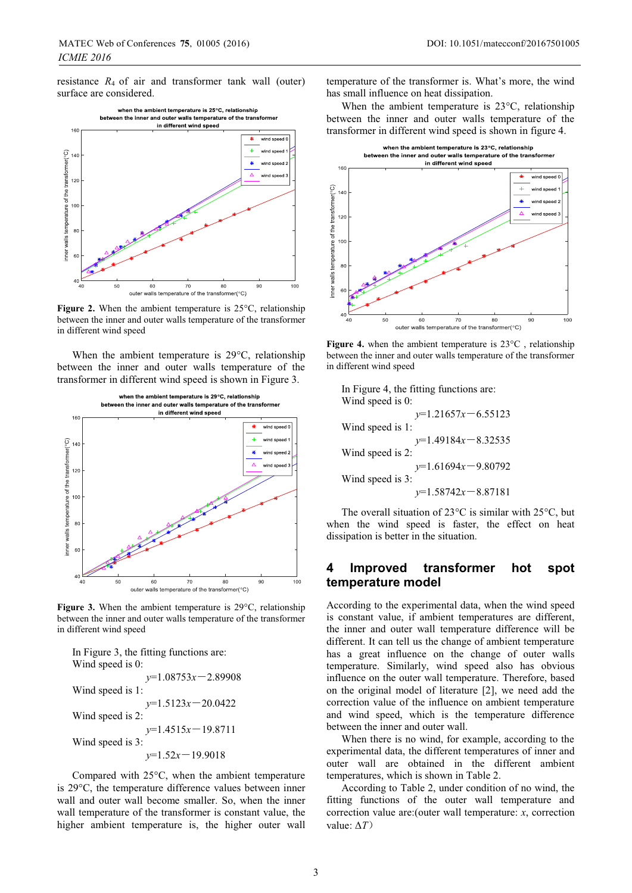resistance  $R_4$  of air and transformer tank wall (outer) surface are considered.



**Figure 2.** When the ambient temperature is  $25^{\circ}$ C, relationship between the inner and outer walls temperature of the transformer in different wind speed

When the ambient temperature is  $29^{\circ}$ C, relationship between the inner and outer walls temperature of the transformer in different wind speed is shown in Figure 3.



**Figure 3.** When the ambient temperature is  $29^{\circ}$ C, relationship between the inner and outer walls temperature of the transformer in different wind speed

In Figure 3, the fitting functions are: Wind speed is 0: *y*=1.08753*x*ˉ2.89908 Wind speed is 1: *y*=1.5123*x*ˉ20.0422 Wind speed is 2: *y*=1.4515*x*ˉ19.8711 Wind speed is 3: *y*=1.52*x*ˉ19.9018

Compared with  $25^{\circ}$ C, when the ambient temperature is 29°C, the temperature difference values between inner wall and outer wall become smaller. So, when the inner wall temperature of the transformer is constant value, the higher ambient temperature is, the higher outer wall temperature of the transformer is. What's more, the wind has small influence on heat dissipation.

When the ambient temperature is  $23^{\circ}$ C, relationship between the inner and outer walls temperature of the transformer in different wind speed is shown in figure 4.



**Figure 4.** when the ambient temperature is  $23^{\circ}$ C, relationship between the inner and outer walls temperature of the transformer in different wind speed

In Figure 4, the fitting functions are: Wind speed is 0: *y*=1.21657*x*ˉ6.55123 Wind speed is 1: *y*=1.49184*x*ˉ8.32535 Wind speed is 2: *y*=1.61694*x*ˉ9.80792 Wind speed is 3: *y*=1.58742*x*ˉ8.87181

The overall situation of  $23^{\circ}$ C is similar with  $25^{\circ}$ C, but when the wind speed is faster, the effect on heat dissipation is better in the situation.

#### **4 Improved transformer hot spot temperature model**

According to the experimental data, when the wind speed is constant value, if ambient temperatures are different, the inner and outer wall temperature difference will be different. It can tell us the change of ambient temperature has a great influence on the change of outer walls temperature. Similarly, wind speed also has obvious influence on the outer wall temperature. Therefore, based on the original model of literature [2], we need add the correction value of the influence on ambient temperature and wind speed, which is the temperature difference between the inner and outer wall.

When there is no wind, for example, according to the experimental data, the different temperatures of inner and outer wall are obtained in the different ambient temperatures, which is shown in Table 2.

According to Table 2, under condition of no wind, the fitting functions of the outer wall temperature and correction value are:(outer wall temperature: *x*, correction value: Δ*T*˅